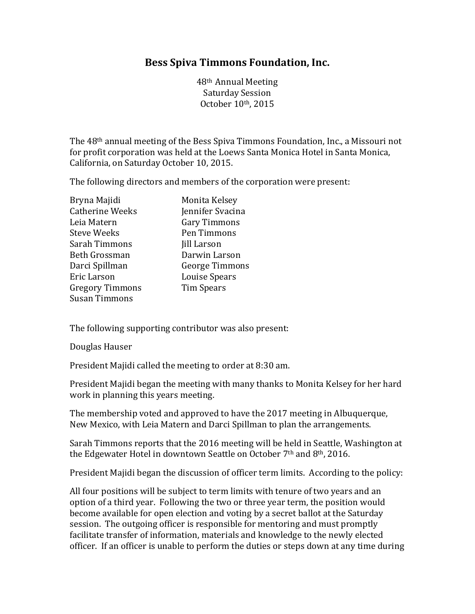## **Bess Spiva Timmons Foundation, Inc.**

48th Annual Meeting Saturday Session October 10th, 2015

The 48th annual meeting of the Bess Spiva Timmons Foundation, Inc., a Missouri not for profit corporation was held at the Loews Santa Monica Hotel in Santa Monica, California, on Saturday October 10, 2015.

The following directors and members of the corporation were present:

| Bryna Majidi           | Monita Kelsey         |
|------------------------|-----------------------|
| <b>Catherine Weeks</b> | Jennifer Svacina      |
| Leia Matern            | Gary Timmons          |
| <b>Steve Weeks</b>     | Pen Timmons           |
| Sarah Timmons          | <b>Jill Larson</b>    |
| Beth Grossman          | Darwin Larson         |
| Darci Spillman         | <b>George Timmons</b> |
| Eric Larson            | Louise Spears         |
| <b>Gregory Timmons</b> | Tim Spears            |
| <b>Susan Timmons</b>   |                       |

The following supporting contributor was also present:

Douglas Hauser

President Majidi called the meeting to order at 8:30 am.

President Majidi began the meeting with many thanks to Monita Kelsey for her hard work in planning this years meeting.

The membership voted and approved to have the 2017 meeting in Albuquerque, New Mexico, with Leia Matern and Darci Spillman to plan the arrangements.

Sarah Timmons reports that the 2016 meeting will be held in Seattle, Washington at the Edgewater Hotel in downtown Seattle on October 7th and 8th, 2016.

President Majidi began the discussion of officer term limits. According to the policy:

All four positions will be subject to term limits with tenure of two years and an option of a third year. Following the two or three year term, the position would become available for open election and voting by a secret ballot at the Saturday session. The outgoing officer is responsible for mentoring and must promptly facilitate transfer of information, materials and knowledge to the newly elected officer. If an officer is unable to perform the duties or steps down at any time during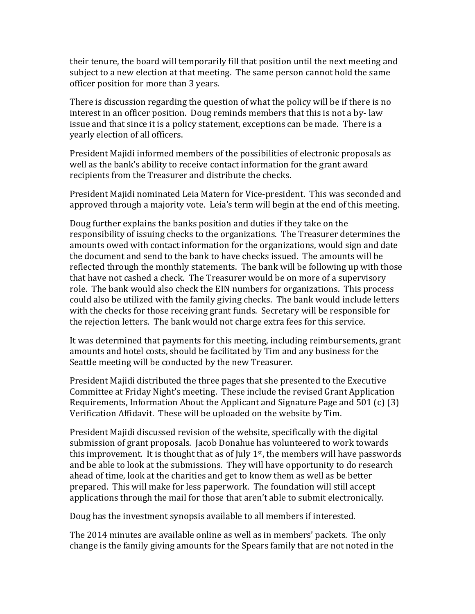their tenure, the board will temporarily fill that position until the next meeting and subject to a new election at that meeting. The same person cannot hold the same officer position for more than 3 years.

There is discussion regarding the question of what the policy will be if there is no interest in an officer position. Doug reminds members that this is not a by- law issue and that since it is a policy statement, exceptions can be made. There is a yearly election of all officers.

President Majidi informed members of the possibilities of electronic proposals as well as the bank's ability to receive contact information for the grant award recipients from the Treasurer and distribute the checks.

President Majidi nominated Leia Matern for Vice-president. This was seconded and approved through a majority vote. Leia's term will begin at the end of this meeting.

Doug further explains the banks position and duties if they take on the responsibility of issuing checks to the organizations. The Treasurer determines the amounts owed with contact information for the organizations, would sign and date the document and send to the bank to have checks issued. The amounts will be reflected through the monthly statements. The bank will be following up with those that have not cashed a check. The Treasurer would be on more of a supervisory role. The bank would also check the EIN numbers for organizations. This process could also be utilized with the family giving checks. The bank would include letters with the checks for those receiving grant funds. Secretary will be responsible for the rejection letters. The bank would not charge extra fees for this service.

It was determined that payments for this meeting, including reimbursements, grant amounts and hotel costs, should be facilitated by Tim and any business for the Seattle meeting will be conducted by the new Treasurer.

President Majidi distributed the three pages that she presented to the Executive Committee at Friday Night's meeting. These include the revised Grant Application Requirements, Information About the Applicant and Signature Page and 501 (c) (3) Verification Affidavit. These will be uploaded on the website by Tim.

President Majidi discussed revision of the website, specifically with the digital submission of grant proposals. Jacob Donahue has volunteered to work towards this improvement. It is thought that as of July  $1<sup>st</sup>$ , the members will have passwords and be able to look at the submissions. They will have opportunity to do research ahead of time, look at the charities and get to know them as well as be better prepared. This will make for less paperwork. The foundation will still accept applications through the mail for those that aren't able to submit electronically.

Doug has the investment synopsis available to all members if interested.

The 2014 minutes are available online as well as in members' packets. The only change is the family giving amounts for the Spears family that are not noted in the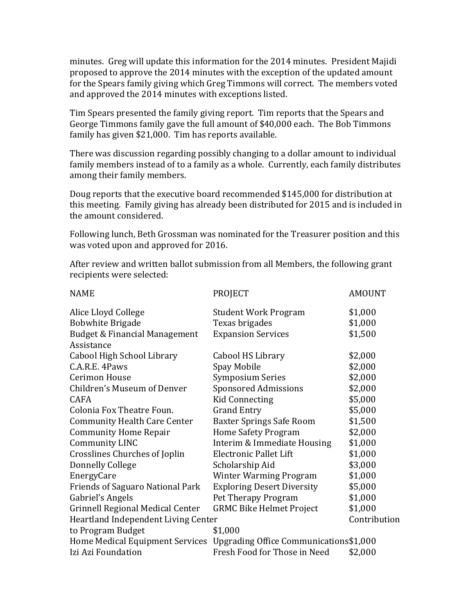minutes. Greg will update this information for the 2014 minutes. President Majidi proposed to approve the 2014 minutes with the exception of the updated amount for the Spears family giving which Greg Timmons will correct. The members voted and approved the 2014 minutes with exceptions listed.

Tim Spears presented the family giving report. Tim reports that the Spears and George Timmons family gave the full amount of \$40,000 each. The Bob Timmons family has given \$21,000. Tim has reports available.

There was discussion regarding possibly changing to a dollar amount to individual family members instead of to a family as a whole. Currently, each family distributes among their family members.

Doug reports that the executive board recommended \$145,000 for distribution at this meeting. Family giving has already been distributed for 2015 and is included in the amount considered.

Following lunch, Beth Grossman was nominated for the Treasurer position and this was voted upon and approved for 2016.

After review and written ballot submission from all Members, the following grant recipients were selected:

| <b>PROJECT</b>                                                         | <b>AMOUNT</b> |
|------------------------------------------------------------------------|---------------|
| <b>Student Work Program</b>                                            | \$1,000       |
| Texas brigades                                                         | \$1,000       |
| <b>Expansion Services</b>                                              | \$1,500       |
|                                                                        |               |
| Cabool HS Library                                                      | \$2,000       |
| Spay Mobile                                                            | \$2,000       |
| <b>Symposium Series</b>                                                | \$2,000       |
| <b>Sponsored Admissions</b>                                            | \$2,000       |
| <b>Kid Connecting</b>                                                  | \$5,000       |
| <b>Grand Entry</b>                                                     | \$5,000       |
| <b>Baxter Springs Safe Room</b>                                        | \$1,500       |
| <b>Home Safety Program</b>                                             | \$2,000       |
| Interim & Immediate Housing                                            | \$1,000       |
| <b>Electronic Pallet Lift</b>                                          | \$1,000       |
| Scholarship Aid                                                        | \$3,000       |
| <b>Winter Warming Program</b>                                          | \$1,000       |
| <b>Exploring Desert Diversity</b>                                      | \$5,000       |
| Pet Therapy Program                                                    | \$1,000       |
| <b>GRMC Bike Helmet Project</b>                                        | \$1,000       |
| Contribution<br>Heartland Independent Living Center                    |               |
| \$1,000                                                                |               |
| Home Medical Equipment Services Upgrading Office Communications\$1,000 |               |
| Fresh Food for Those in Need                                           | \$2,000       |
|                                                                        |               |